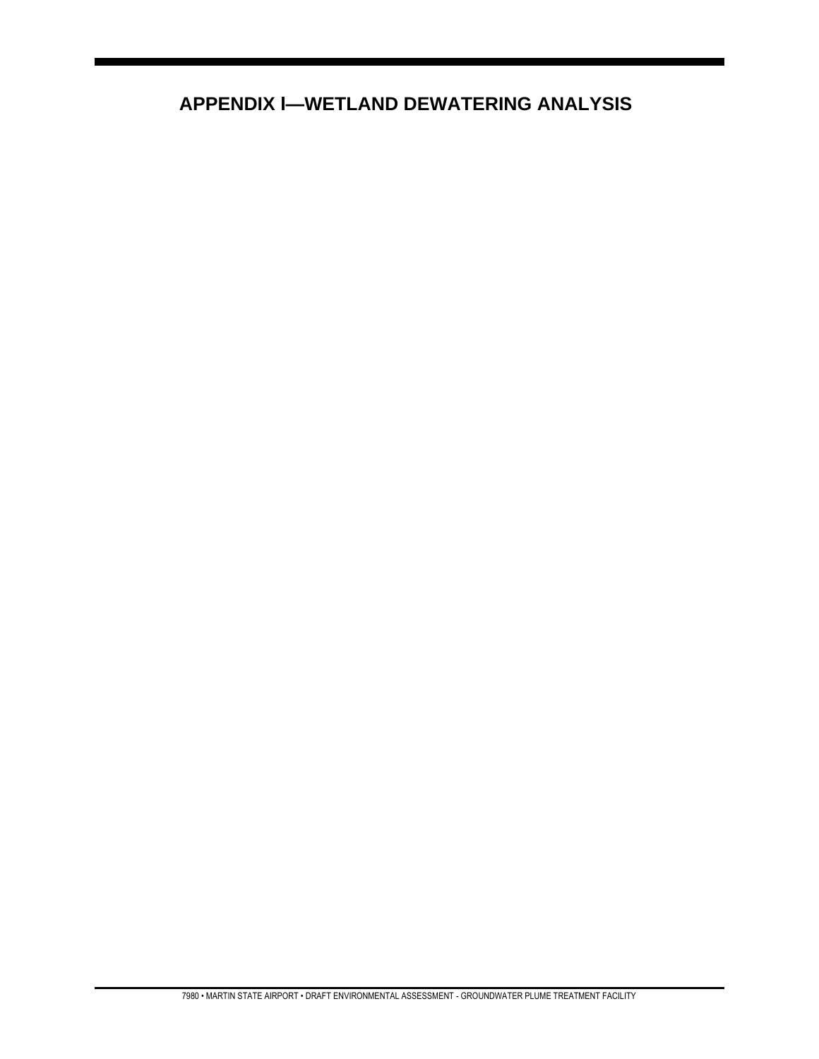# **APPENDIX I-WETLAND DEWATERING ANALYSIS**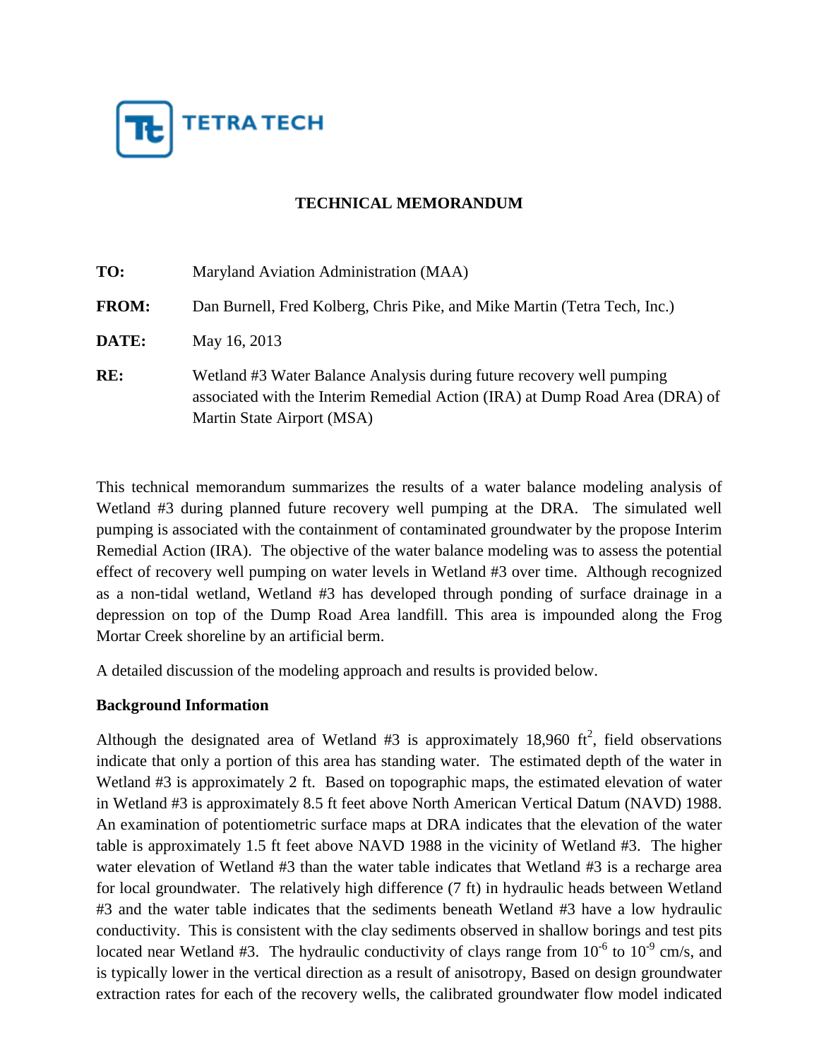

# **TECHNICAL MEMORANDUM**

| TO:          | Maryland Aviation Administration (MAA)                                                                                                                                              |
|--------------|-------------------------------------------------------------------------------------------------------------------------------------------------------------------------------------|
| <b>FROM:</b> | Dan Burnell, Fred Kolberg, Chris Pike, and Mike Martin (Tetra Tech, Inc.)                                                                                                           |
| DATE:        | May 16, 2013                                                                                                                                                                        |
| RE:          | Wetland #3 Water Balance Analysis during future recovery well pumping<br>associated with the Interim Remedial Action (IRA) at Dump Road Area (DRA) of<br>Martin State Airport (MSA) |

This technical memorandum summarizes the results of a water balance modeling analysis of Wetland #3 during planned future recovery well pumping at the DRA. The simulated well pumping is associated with the containment of contaminated groundwater by the propose Interim Remedial Action (IRA). The objective of the water balance modeling was to assess the potential effect of recovery well pumping on water levels in Wetland #3 over time. Although recognized as a non-tidal wetland, Wetland #3 has developed through ponding of surface drainage in a depression on top of the Dump Road Area landfill. This area is impounded along the Frog Mortar Creek shoreline by an artificial berm.

A detailed discussion of the modeling approach and results is provided below.

### **Background Information**

Although the designated area of Wetland #3 is approximately 18,960  $\text{ft}^2$ , field observations indicate that only a portion of this area has standing water. The estimated depth of the water in Wetland #3 is approximately 2 ft. Based on topographic maps, the estimated elevation of water in Wetland #3 is approximately 8.5 ft feet above North American Vertical Datum (NAVD) 1988. An examination of potentiometric surface maps at DRA indicates that the elevation of the water table is approximately 1.5 ft feet above NAVD 1988 in the vicinity of Wetland #3. The higher water elevation of Wetland #3 than the water table indicates that Wetland #3 is a recharge area for local groundwater. The relatively high difference (7 ft) in hydraulic heads between Wetland #3 and the water table indicates that the sediments beneath Wetland #3 have a low hydraulic conductivity. This is consistent with the clay sediments observed in shallow borings and test pits located near Wetland #3. The hydraulic conductivity of clays range from  $10^{-6}$  to  $10^{-9}$  cm/s, and is typically lower in the vertical direction as a result of anisotropy, Based on design groundwater extraction rates for each of the recovery wells, the calibrated groundwater flow model indicated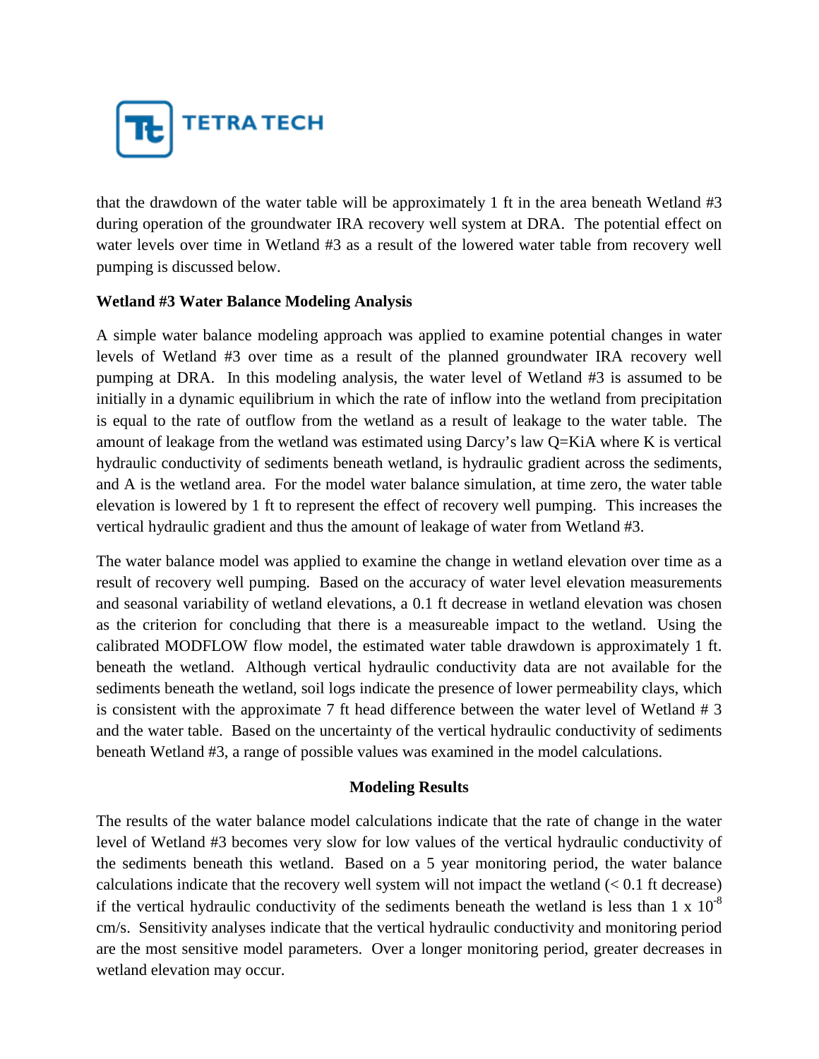

that the drawdown of the water table will be approximately 1 ft in the area beneath Wetland #3 during operation of the groundwater IRA recovery well system at DRA. The potential effect on water levels over time in Wetland #3 as a result of the lowered water table from recovery well pumping is discussed below.

## **Wetland #3 Water Balance Modeling Analysis**

A simple water balance modeling approach was applied to examine potential changes in water levels of Wetland #3 over time as a result of the planned groundwater IRA recovery well pumping at DRA. In this modeling analysis, the water level of Wetland #3 is assumed to be initially in a dynamic equilibrium in which the rate of inflow into the wetland from precipitation is equal to the rate of outflow from the wetland as a result of leakage to the water table. The amount of leakage from the wetland was estimated using Darcy's law Q=KiA where K is vertical hydraulic conductivity of sediments beneath wetland, is hydraulic gradient across the sediments, and A is the wetland area. For the model water balance simulation, at time zero, the water table elevation is lowered by 1 ft to represent the effect of recovery well pumping. This increases the vertical hydraulic gradient and thus the amount of leakage of water from Wetland #3.

The water balance model was applied to examine the change in wetland elevation over time as a result of recovery well pumping. Based on the accuracy of water level elevation measurements and seasonal variability of wetland elevations, a 0.1 ft decrease in wetland elevation was chosen as the criterion for concluding that there is a measureable impact to the wetland. Using the calibrated MODFLOW flow model, the estimated water table drawdown is approximately 1 ft. beneath the wetland. Although vertical hydraulic conductivity data are not available for the sediments beneath the wetland, soil logs indicate the presence of lower permeability clays, which is consistent with the approximate 7 ft head difference between the water level of Wetland # 3 and the water table. Based on the uncertainty of the vertical hydraulic conductivity of sediments beneath Wetland #3, a range of possible values was examined in the model calculations.

### **Modeling Results**

The results of the water balance model calculations indicate that the rate of change in the water level of Wetland #3 becomes very slow for low values of the vertical hydraulic conductivity of the sediments beneath this wetland. Based on a 5 year monitoring period, the water balance calculations indicate that the recovery well system will not impact the wetland  $(< 0.1$  ft decrease) if the vertical hydraulic conductivity of the sediments beneath the wetland is less than 1 x  $10^{-8}$ cm/s. Sensitivity analyses indicate that the vertical hydraulic conductivity and monitoring period are the most sensitive model parameters. Over a longer monitoring period, greater decreases in wetland elevation may occur.